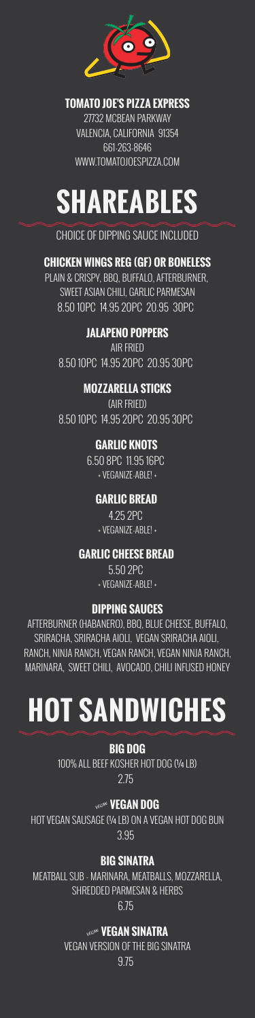

#### **TOMATO JOE'S PIZZA EXPRESS**

27732 MCBEAN PARKWAY VALENCIA, CALIFORNIA 91354 661-263-8646 WWW.TOMATOJOESPIZZA.COM

# **SHAREABLES**

### CHOICE OF DIPPING SAUCE INCLUDED

# **CHICKEN WINGS REG (GF) OR BONELESS**

PLAIN & CRISPY, BBQ, BUFFALO, AFTERBURNER, SWEET ASIAN CHILI, GARLIC PARMESAN 8.50 10PC 14.95 20PC 20.95 30PC

# **JALAPENO POPPERS**

AIR FRIED 8.50 10PC 14.95 20PC 20.95 30PC

### **MOZZARELLA STICKS**

(AIR FRIED) 8.50 10PC 14.95 20PC 20.95 30PC

#### **GARLIC KNOTS**

6.50 8PC 11.95 16PC + VEGANIZE-ABLE! +

#### HOT VEGAN SAUSAGE (1/4 LB) ON A VEGAN HOT DOG BUN 3.95

#### **GARLIC BREAD**

4.25 2PC + VEGANIZE-ABLE! +

#### **GARLIC CHEESE BREAD**

5.50 2PC + VEGANIZE-ABLE! +

#### **DIPPING SAUCES**

AFTERBURNER (HABANERO), BBQ, BLUE CHEESE, BUFFALO, SRIRACHA, SRIRACHA AIOLI, VEGAN SRIRACHA AIOLI, RANCH, NINJA RANCH, VEGAN RANCH, VEGAN NINJA RANCH, MARINARA, SWEET CHILI, AVOCADO, CHILI INFUSED HONEY

# **HOT SANDWICHES**

**BIG DOG** 100% ALL BEEF KOSHER HOT DOG (¼ LB) 2.75

#### » **VEGAN DOG**

#### **BIG SINATRA**

MEATBALL SUB - MARINARA, MEATBALLS, MOZZARELLA, SHREDDED PARMESAN & HERBS 6.75

#### » **VEGAN SINATRA** VEGAN VERSION OF THE BIG SINATRA 9.75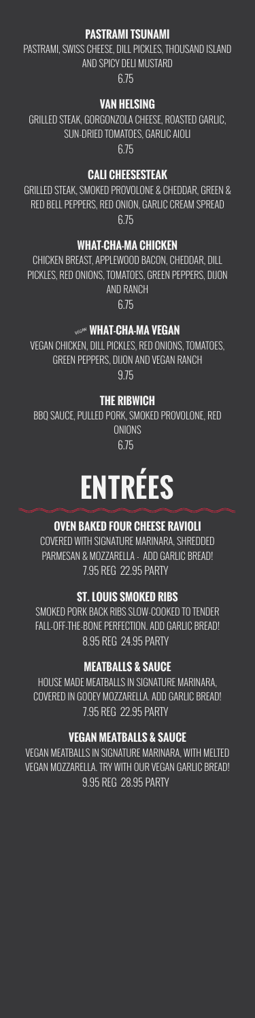#### **PASTRAMI TSUNAMI**

PASTRAMI, SWISS CHEESE, DILL PICKLES, THOUSAND ISLAND AND SPICY DELI MUSTARD

6.75

#### **VAN HELSING**

GRILLED STEAK, GORGONZOLA CHEESE, ROASTED GARLIC, SUN-DRIED TOMATOES, GARLIC AIOLI 6.75

#### **CALI CHEESESTEAK**

GRILLED STEAK, SMOKED PROVOLONE & CHEDDAR, GREEN & RED BELL PEPPERS, RED ONION, GARLIC CREAM SPREAD 6.75

BBQ SAUCE, PULLED PORK, SMOKED PROVOLONE, RED **ONIONS** 

#### **WHAT-CHA-MA CHICKEN**

CHICKEN BREAST, APPLEWOOD BACON, CHEDDAR, DILL PICKLES, RED ONIONS, TOMATOES, GREEN PEPPERS, DIJON AND RANCH 6.75

#### **WHAT-CHA-MA VEGAN**

VEGAN CHICKEN, DILL PICKLES, RED ONIONS, TOMATOES, GREEN PEPPERS, DIJON AND VEGAN RANCH 9.75

#### **THE RIBWICH**

6.75

# **ENTRÉES**

# **OVEN BAKED FOUR CHEESE RAVIOLI**

COVERED WITH SIGNATURE MARINARA, SHREDDED PARMESAN & MOZZARELLA - ADD GARLIC BREAD! 7.95 REG 22.95 PARTY

# **ST. LOUIS SMOKED RIBS**

SMOKED PORK BACK RIBS SLOW-COOKED TO TENDER FALL-OFF-THE-BONE PERFECTION. ADD GARLIC BREAD! 8.95 REG 24.95 PARTY

# **MEATBALLS & SAUCE**

HOUSE MADE MEATBALLS IN SIGNATURE MARINARA, COVERED IN GOOEY MOZZARELLA. ADD GARLIC BREAD! 7.95 REG 22.95 PARTY

#### **VEGAN MEATBALLS & SAUCE**

VEGAN MEATBALLS IN SIGNATURE MARINARA, WITH MELTED VEGAN MOZZARELLA. TRY WITH OUR VEGAN GARLIC BREAD! 9.95 REG 28.95 PARTY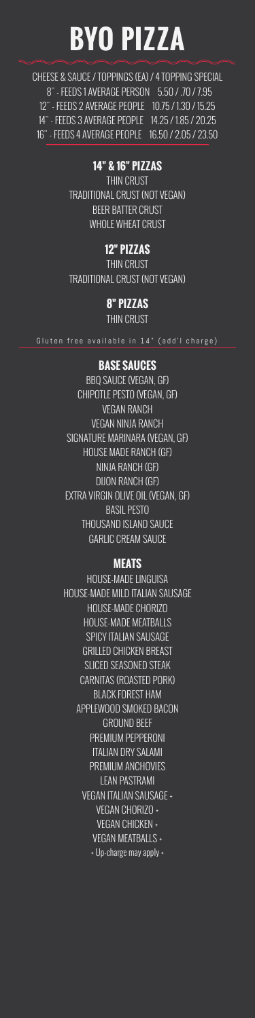# **BYO PIZZA**

CHEESE & SAUCE / TOPPINGS (EA) / 4 TOPPING SPECIAL 8" - FEEDS 1 AVERAGE PERSON 5.50 / .70 / 7.95 12" - FEEDS 2 AVERAGE PEOPLE 10.75 / 1.30 / 15.25 14" - FEEDS 3 AVERAGE PEOPLE 14.25 / 1.85 / 20.25 16" - FEEDS 4 AVERAGE PEOPLE 16.50 / 2.05 / 23.50

#### **14" & 16" PIZZAS**

THIN CRUST TRADITIONAL CRUST (NOT VEGAN) BEER BATTER CRUST WHOLE WHEAT CRUST

#### **12" PIZZAS**

THIN CRUST TRADITIONAL CRUST (NOT VEGAN)

#### **8" PIZZAS**

THIN CRUST

Gluten free available in 14" (add'l charge)

#### **BASE SAUCES**

BBQ SAUCE (VEGAN, GF) CHIPOTLE PESTO (VEGAN, GF) VEGAN RANCH VEGAN NINJA RANCH SIGNATURE MARINARA (VEGAN, GF) HOUSE MADE RANCH (GF) NINJA RANCH (GF) DIJON RANCH (GF) EXTRA VIRGIN OLIVE OIL (VEGAN, GF) BASIL PESTO THOUSAND ISLAND SAUCE GARLIC CREAM SAUCE

#### **MEATS**

HOUSE-MADE LINGUISA HOUSE-MADE MILD ITALIAN SAUSAGE HOUSE-MADE CHORIZO HOUSE-MADE MEATBALLS SPICY ITALIAN SAUSAGE GRILLED CHICKEN BREAST SLICED SEASONED STEAK CARNITAS (ROASTED PORK) BLACK FOREST HAM APPLEWOOD SMOKED BACON GROUND BEEF PREMIUM PEPPERONI ITALIAN DRY SALAMI PREMIUM ANCHOVIES LEAN PASTRAMI VEGAN ITALIAN SAUSAGE +

VEGAN CHORIZO +

VEGAN CHICKEN +

VEGAN MEATBALLS +

+ Up-charge may apply +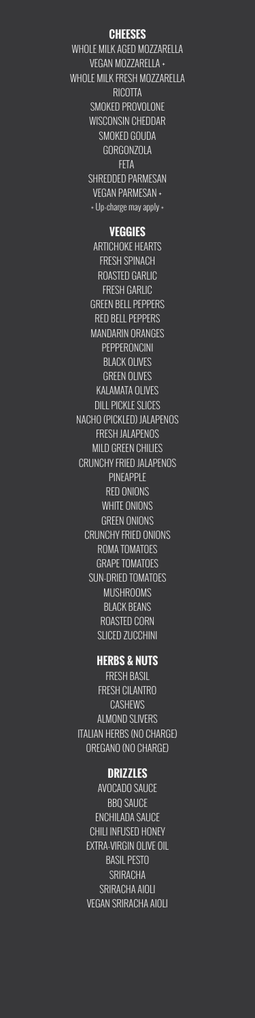#### **CHEESES**

WHOLE MILK AGED MOZZARELLA VEGAN MOZZARELLA + WHOLE MILK FRESH MOZZARELLA **RICOTTA** SMOKED PROVOLONE WISCONSIN CHEDDAR SMOKED GOUDA GORGONZOLA FETA SHREDDED PARMESAN VEGAN PARMESAN + + Up-charge may apply +

#### **VEGGIES**

ARTICHOKE HEARTS FRESH SPINACH ROASTED GARLIC FRESH GARLIC GREEN BELL PEPPERS RED BELL PEPPERS MANDARIN ORANGES PEPPERONCINI BLACK OLIVES GREEN OLIVES KALAMATA OLIVES DILL PICKLE SLICES NACHO (PICKLED) JALAPENOS FRESH JALAPENOS MILD GREEN CHILIES CRUNCHY FRIED JALAPENOS PINEAPPLE RED ONIONS WHITE ONIONS GREEN ONIONS CRUNCHY FRIED ONIONS ROMA TOMATOES GRAPE TOMATOES SUN-DRIED TOMATOES MUSHROOMS BLACK BEANS ROASTED CORN SLICED ZUCCHINI

#### **HERBS & NUTS**

FRESH BASIL FRESH CILANTRO CASHEWS ALMOND SLIVERS ITALIAN HERBS (NO CHARGE) OREGANO (NO CHARGE)

#### **DRIZZLES**

AVOCADO SAUCE

BBQ SAUCE ENCHILADA SAUCE CHILI INFUSED HONEY EXTRA-VIRGIN OLIVE OIL BASIL PESTO **SRIRACHA** SRIRACHA AIOLI VEGAN SRIRACHA AIOLI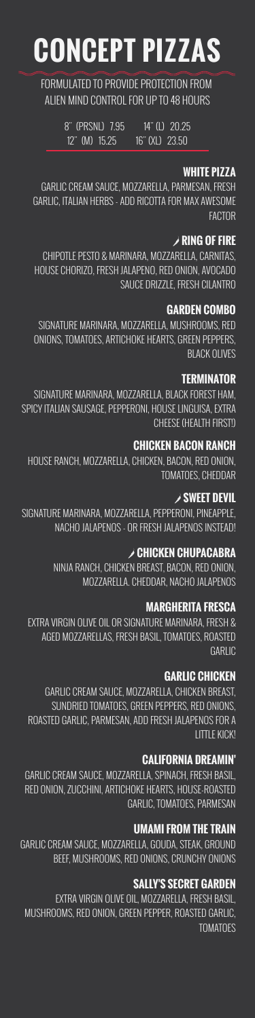# **CONCEPT PIZZAS**

FORMULATED TO PROVIDE PROTECTION FROM ALIEN MIND CONTROL FOR UP TO 48 HOURS

> 8" (PRSNL) 7.95 14" (L) 20.25 12" (M) 15.25 16" (XL) 23.50

#### **WHITE PIZZA**

GARLIC CREAM SAUCE, MOZZARELLA, PARMESAN, FRESH GARLIC, ITALIAN HERBS - ADD RICOTTA FOR MAX AWESOME FACTOR

#### ' **RING OF FIRE**

CHIPOTLE PESTO & MARINARA, MOZZARELLA, CARNITAS, HOUSE CHORIZO, FRESH JALAPENO, RED ONION, AVOCADO SAUCE DRIZZLE, FRESH CILANTRO

#### **GARDEN COMBO**

SIGNATURE MARINARA, MOZZARELLA, MUSHROOMS, RED ONIONS, TOMATOES, ARTICHOKE HEARTS, GREEN PEPPERS, BLACK OLIVES

#### **TERMINATOR**

SIGNATURE MARINARA, MOZZARELLA, BLACK FOREST HAM, SPICY ITALIAN SAUSAGE, PEPPERONI, HOUSE LINGUISA, EXTRA CHEESE (HEALTH FIRST!)

#### **CHICKEN BACON RANCH**

HOUSE RANCH, MOZZARELLA, CHICKEN, BACON, RED ONION, TOMATOES, CHEDDAR

#### ' **SWEET DEVIL**

EXTRA VIRGIN OLIVE OIL, MOZZARELLA, FRESH BASIL, MUSHROOMS, RED ONION, GREEN PEPPER, ROASTED GARLIC, **TOMATOES** 

SIGNATURE MARINARA, MOZZARELLA, PEPPERONI, PINEAPPLE, NACHO JALAPENOS - OR FRESH JALAPENOS INSTEAD!

#### ' **CHICKEN CHUPACABRA**

NINJA RANCH, CHICKEN BREAST, BACON, RED ONION, MOZZARELLA. CHEDDAR, NACHO JALAPENOS

#### **MARGHERITA FRESCA**

EXTRA VIRGIN OLIVE OIL OR SIGNATURE MARINARA, FRESH & AGED MOZZARELLAS, FRESH BASIL, TOMATOES, ROASTED GARLIC

#### **GARLIC CHICKEN**

GARLIC CREAM SAUCE, MOZZARELLA, CHICKEN BREAST, SUNDRIED TOMATOES, GREEN PEPPERS, RED ONIONS, ROASTED GARLIC, PARMESAN, ADD FRESH JALAPENOS FOR A LITTLE KICK!

#### **CALIFORNIA DREAMIN'**

GARLIC CREAM SAUCE, MOZZARELLA, SPINACH, FRESH BASIL, RED ONION, ZUCCHINI, ARTICHOKE HEARTS, HOUSE-ROASTED

#### GARLIC, TOMATOES, PARMESAN

#### **UMAMI FROM THE TRAIN**

GARLIC CREAM SAUCE, MOZZARELLA, GOUDA, STEAK, GROUND BEEF, MUSHROOMS, RED ONIONS, CRUNCHY ONIONS

#### **SALLY'S SECRET GARDEN**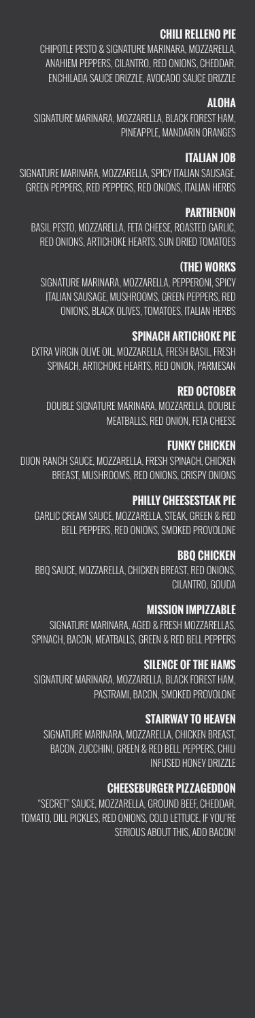#### **CHILI RELLENO PIE**

CHIPOTLE PESTO & SIGNATURE MARINARA, MOZZARELLA, ANAHIEM PEPPERS, CILANTRO, RED ONIONS, CHEDDAR, ENCHILADA SAUCE DRIZZLE, AVOCADO SAUCE DRIZZLE

#### **ALOHA**

SIGNATURE MARINARA, MOZZARELLA, BLACK FOREST HAM, PINEAPPLE, MANDARIN ORANGES

#### **ITALIAN JOB**

SIGNATURE MARINARA, MOZZARELLA, SPICY ITALIAN SAUSAGE, GREEN PEPPERS, RED PEPPERS, RED ONIONS, ITALIAN HERBS

#### **PARTHENON**

BASIL PESTO, MOZZARELLA, FETA CHEESE, ROASTED GARLIC, RED ONIONS, ARTICHOKE HEARTS, SUN DRIED TOMATOES

#### **(THE) WORKS**

SIGNATURE MARINARA, MOZZARELLA, PEPPERONI, SPICY ITALIAN SAUSAGE, MUSHROOMS, GREEN PEPPERS, RED ONIONS, BLACK OLIVES, TOMATOES, ITALIAN HERBS

#### **SPINACH ARTICHOKE PIE**

EXTRA VIRGIN OLIVE OIL, MOZZARELLA, FRESH BASIL, FRESH SPINACH, ARTICHOKE HEARTS, RED ONION, PARMESAN

#### **RED OCTOBER**

DOUBLE SIGNATURE MARINARA, MOZZARELLA, DOUBLE MEATBALLS, RED ONION, FETA CHEESE

#### **FUNKY CHICKEN**

DIJON RANCH SAUCE, MOZZARELLA, FRESH SPINACH, CHICKEN BREAST, MUSHROOMS, RED ONIONS, CRISPY ONIONS

#### **PHILLY CHEESESTEAK PIE**

GARLIC CREAM SAUCE, MOZZARELLA, STEAK, GREEN & RED BELL PEPPERS, RED ONIONS, SMOKED PROVOLONE

#### **BBQ CHICKEN**

BBQ SAUCE, MOZZARELLA, CHICKEN BREAST, RED ONIONS, CILANTRO, GOUDA

#### **MISSION IMPIZZABLE**

SIGNATURE MARINARA, AGED & FRESH MOZZARELLAS, SPINACH, BACON, MEATBALLS, GREEN & RED BELL PEPPERS

#### **SILENCE OF THE HAMS**

SIGNATURE MARINARA, MOZZARELLA, BLACK FOREST HAM, PASTRAMI, BACON, SMOKED PROVOLONE

#### **STAIRWAY TO HEAVEN**

SIGNATURE MARINARA, MOZZARELLA, CHICKEN BREAST, BACON, ZUCCHINI, GREEN & RED BELL PEPPERS, CHILI INFUSED HONEY DRIZZLE

#### **CHEESEBURGER PIZZAGEDDON**

"SECRET" SAUCE, MOZZARELLA, GROUND BEEF, CHEDDAR, TOMATO, DILL PICKLES, RED ONIONS, COLD LETTUCE, IF YOU'RE SERIOUS ABOUT THIS, ADD BACON!